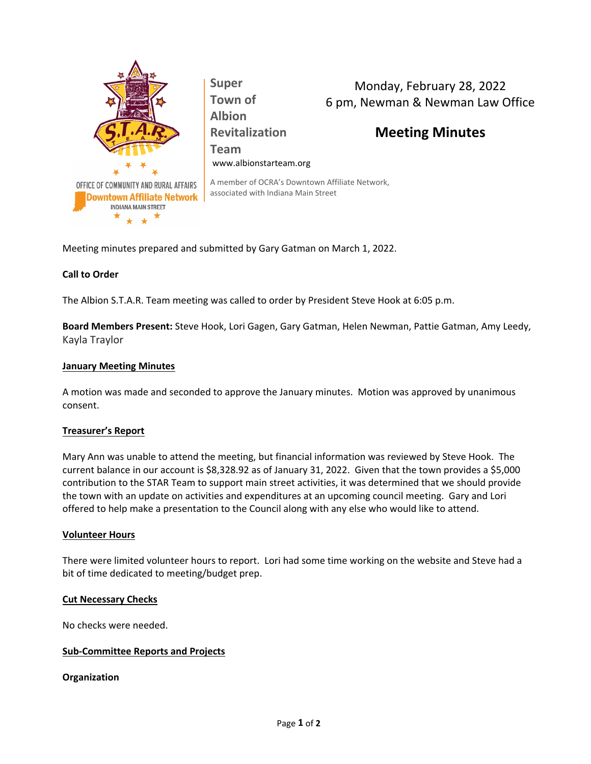

Monday, February 28, 2022 6 pm, Newman & Newman Law Office

# **Meeting Minutes**

A member of OCRA's Downtown Affiliate Network, associated with Indiana Main Street

**Team**

Meeting minutes prepared and submitted by Gary Gatman on March 1, 2022.

**Super Town of Albion**

**Revitalization**

www.albionstarteam.org

## **Call to Order**

The Albion S.T.A.R. Team meeting was called to order by President Steve Hook at 6:05 p.m.

**Board Members Present:** Steve Hook, Lori Gagen, Gary Gatman, Helen Newman, Pattie Gatman, Amy Leedy, Kayla Traylor

#### **January Meeting Minutes**

A motion was made and seconded to approve the January minutes. Motion was approved by unanimous consent.

#### **Treasurer's Report**

Mary Ann was unable to attend the meeting, but financial information was reviewed by Steve Hook. The current balance in our account is \$8,328.92 as of January 31, 2022. Given that the town provides a \$5,000 contribution to the STAR Team to support main street activities, it was determined that we should provide the town with an update on activities and expenditures at an upcoming council meeting. Gary and Lori offered to help make a presentation to the Council along with any else who would like to attend.

#### **Volunteer Hours**

There were limited volunteer hours to report. Lori had some time working on the website and Steve had a bit of time dedicated to meeting/budget prep.

#### **Cut Necessary Checks**

No checks were needed.

#### **Sub-Committee Reports and Projects**

#### **Organization**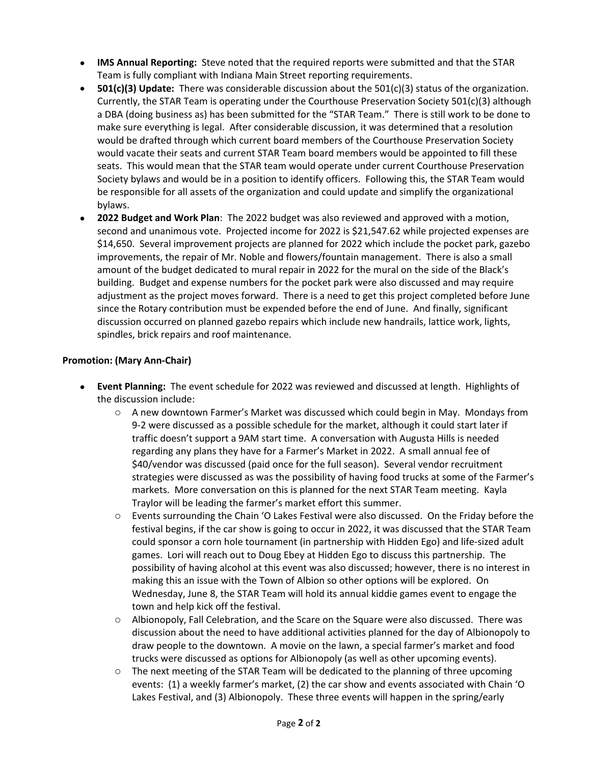- **IMS Annual Reporting:** Steve noted that the required reports were submitted and that the STAR Team is fully compliant with Indiana Main Street reporting requirements.
- **501(c)(3) Update:** There was considerable discussion about the 501(c)(3) status of the organization. Currently, the STAR Team is operating under the Courthouse Preservation Society 501(c)(3) although a DBA (doing business as) has been submitted for the "STAR Team." There is still work to be done to make sure everything is legal. After considerable discussion, it was determined that a resolution would be drafted through which current board members of the Courthouse Preservation Society would vacate their seats and current STAR Team board members would be appointed to fill these seats. This would mean that the STAR team would operate under current Courthouse Preservation Society bylaws and would be in a position to identify officers. Following this, the STAR Team would be responsible for all assets of the organization and could update and simplify the organizational bylaws.
- **2022 Budget and Work Plan**: The 2022 budget was also reviewed and approved with a motion, second and unanimous vote. Projected income for 2022 is \$21,547.62 while projected expenses are \$14,650. Several improvement projects are planned for 2022 which include the pocket park, gazebo improvements, the repair of Mr. Noble and flowers/fountain management. There is also a small amount of the budget dedicated to mural repair in 2022 for the mural on the side of the Black's building. Budget and expense numbers for the pocket park were also discussed and may require adjustment as the project moves forward. There is a need to get this project completed before June since the Rotary contribution must be expended before the end of June. And finally, significant discussion occurred on planned gazebo repairs which include new handrails, lattice work, lights, spindles, brick repairs and roof maintenance.

## **Promotion: (Mary Ann-Chair)**

- **Event Planning:** The event schedule for 2022 was reviewed and discussed at length. Highlights of the discussion include:
	- o A new downtown Farmer's Market was discussed which could begin in May. Mondays from 9-2 were discussed as a possible schedule for the market, although it could start later if traffic doesn't support a 9AM start time. A conversation with Augusta Hills is needed regarding any plans they have for a Farmer's Market in 2022. A small annual fee of \$40/vendor was discussed (paid once for the full season). Several vendor recruitment strategies were discussed as was the possibility of having food trucks at some of the Farmer's markets. More conversation on this is planned for the next STAR Team meeting. Kayla Traylor will be leading the farmer's market effort this summer.
	- o Events surrounding the Chain 'O Lakes Festival were also discussed. On the Friday before the festival begins, if the car show is going to occur in 2022, it was discussed that the STAR Team could sponsor a corn hole tournament (in partnership with Hidden Ego) and life-sized adult games. Lori will reach out to Doug Ebey at Hidden Ego to discuss this partnership. The possibility of having alcohol at this event was also discussed; however, there is no interest in making this an issue with the Town of Albion so other options will be explored. On Wednesday, June 8, the STAR Team will hold its annual kiddie games event to engage the town and help kick off the festival.
	- o Albionopoly, Fall Celebration, and the Scare on the Square were also discussed. There was discussion about the need to have additional activities planned for the day of Albionopoly to draw people to the downtown. A movie on the lawn, a special farmer's market and food trucks were discussed as options for Albionopoly (as well as other upcoming events).
	- $\circ$  The next meeting of the STAR Team will be dedicated to the planning of three upcoming events: (1) a weekly farmer's market, (2) the car show and events associated with Chain 'O Lakes Festival, and (3) Albionopoly. These three events will happen in the spring/early